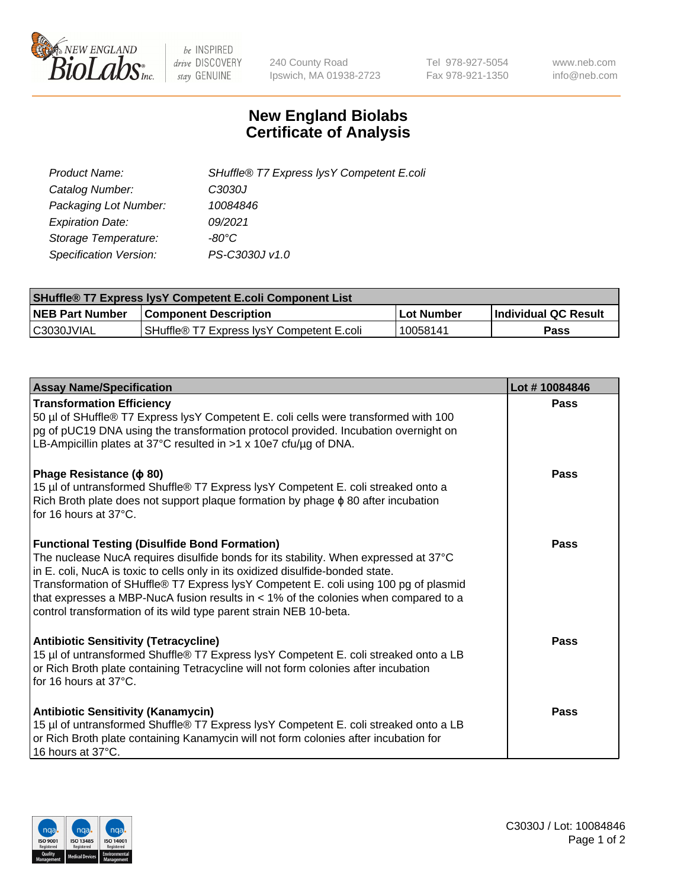

 $be$  INSPIRED drive DISCOVERY stay GENUINE

240 County Road Ipswich, MA 01938-2723 Tel 978-927-5054 Fax 978-921-1350 www.neb.com info@neb.com

## **New England Biolabs Certificate of Analysis**

| SHuffle® T7 Express lysY Competent E.coli |
|-------------------------------------------|
| C3030J                                    |
| 10084846                                  |
| 09/2021                                   |
| -80°C                                     |
| PS-C3030J v1.0                            |
|                                           |

| <b>SHuffle<sup>®</sup> T7 Express lysY Competent E.coli Component List</b> |                                           |              |                             |  |
|----------------------------------------------------------------------------|-------------------------------------------|--------------|-----------------------------|--|
| <b>NEB Part Number</b>                                                     | <b>Component Description</b>              | l Lot Number | <b>Individual QC Result</b> |  |
| C3030JVIAL                                                                 | SHuffle® T7 Express IvsY Competent E.coli | ' 10058141   | Pass                        |  |

| <b>Assay Name/Specification</b>                                                                                                                                                                                                                                                                                                                                                                                                                                                        | Lot #10084846 |
|----------------------------------------------------------------------------------------------------------------------------------------------------------------------------------------------------------------------------------------------------------------------------------------------------------------------------------------------------------------------------------------------------------------------------------------------------------------------------------------|---------------|
| <b>Transformation Efficiency</b><br>50 µl of SHuffle® T7 Express lysY Competent E. coli cells were transformed with 100<br>pg of pUC19 DNA using the transformation protocol provided. Incubation overnight on<br>LB-Ampicillin plates at 37°C resulted in >1 x 10e7 cfu/ug of DNA.                                                                                                                                                                                                    | Pass          |
| Phage Resistance ( $\phi$ 80)<br>15 µl of untransformed Shuffle® T7 Express lysY Competent E. coli streaked onto a<br>Rich Broth plate does not support plaque formation by phage $\phi$ 80 after incubation<br>for 16 hours at 37°C.                                                                                                                                                                                                                                                  | Pass          |
| <b>Functional Testing (Disulfide Bond Formation)</b><br>The nuclease NucA requires disulfide bonds for its stability. When expressed at 37°C<br>in E. coli, NucA is toxic to cells only in its oxidized disulfide-bonded state.<br>Transformation of SHuffle® T7 Express lysY Competent E. coli using 100 pg of plasmid<br>that expresses a MBP-NucA fusion results in $<$ 1% of the colonies when compared to a<br>control transformation of its wild type parent strain NEB 10-beta. | Pass          |
| <b>Antibiotic Sensitivity (Tetracycline)</b><br>15 µl of untransformed Shuffle® T7 Express lysY Competent E. coli streaked onto a LB<br>or Rich Broth plate containing Tetracycline will not form colonies after incubation<br>for 16 hours at $37^{\circ}$ C.                                                                                                                                                                                                                         | Pass          |
| <b>Antibiotic Sensitivity (Kanamycin)</b><br>15 µl of untransformed Shuffle® T7 Express lysY Competent E. coli streaked onto a LB<br>or Rich Broth plate containing Kanamycin will not form colonies after incubation for<br>16 hours at 37°C.                                                                                                                                                                                                                                         | Pass          |